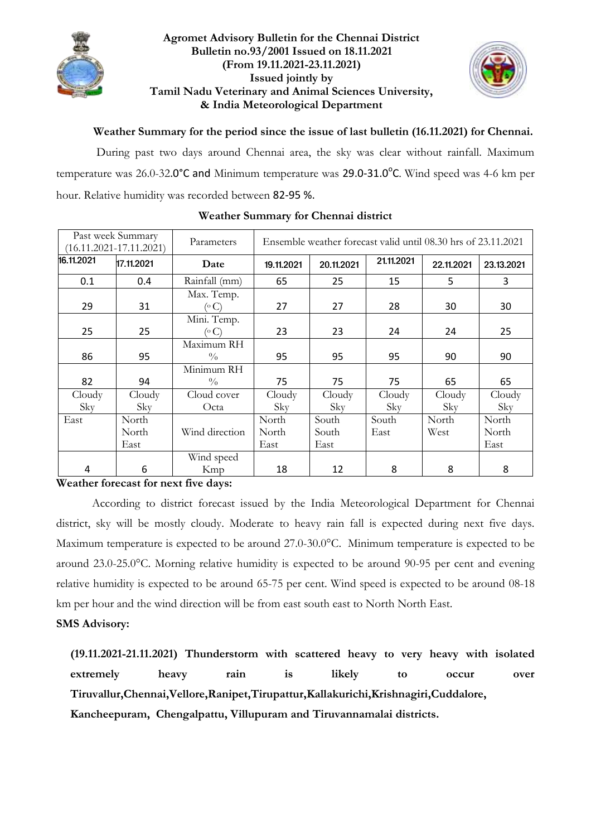

### **Agromet Advisory Bulletin for the Chennai District Bulletin no.93/2001 Issued on 18.11.2021 (From 19.11.2021-23.11.2021) Issued jointly by Tamil Nadu Veterinary and Animal Sciences University, & India Meteorological Department**



**Weather Summary for the period since the issue of last bulletin (16.11.2021) for Chennai.**

During past two days around Chennai area, the sky was clear without rainfall. Maximum temperature was 26.0-32.0°C and Minimum temperature was 29.0-31.0°C. Wind speed was 4-6 km per hour. Relative humidity was recorded between 82-95 %.

| Past week Summary<br>$(16.11.2021 - 17.11.2021)$ |            | Parameters                  | Ensemble weather forecast valid until 08.30 hrs of 23.11.2021 |            |            |            |            |  |
|--------------------------------------------------|------------|-----------------------------|---------------------------------------------------------------|------------|------------|------------|------------|--|
| 16.11.2021                                       | 17.11.2021 | Date                        | 19.11.2021                                                    | 20.11.2021 | 21.11.2021 | 22.11.2021 | 23.13.2021 |  |
| 0.1                                              | 0.4        | Rainfall (mm)               | 65                                                            | 25         | 15         | 5          | 3          |  |
| 29                                               | 31         | Max. Temp.<br>(° C)         | 27                                                            | 27         | 28         | 30         | 30         |  |
| 25                                               | 25         | Mini. Temp.<br>( $\circ$ C) | 23                                                            | 23         | 24         | 24         | 25         |  |
| 86                                               | 95         | Maximum RH<br>$\frac{0}{0}$ | 95                                                            | 95         | 95         | 90         | 90         |  |
| 82                                               | 94         | Minimum RH<br>$\frac{0}{0}$ | 75                                                            | 75         | 75         | 65         | 65         |  |
| Cloudy                                           | Cloudy     | Cloud cover                 | Cloudy                                                        | Cloudy     | Cloudy     | Cloudy     | Cloudy     |  |
| Sky                                              | Sky        | Octa                        | Sky                                                           | Sky        | Sky        | Sky        | Sky        |  |
| East                                             | North      |                             | North                                                         | South      | South      | North      | North      |  |
|                                                  | North      | Wind direction              | North                                                         | South      | East       | West       | North      |  |
|                                                  | East       |                             | East                                                          | East       |            |            | East       |  |
|                                                  |            | Wind speed                  |                                                               |            |            |            |            |  |
| 4                                                | 6          | Kmp                         | 18                                                            | 12         | 8          | 8          | 8          |  |

### **Weather Summary for Chennai district**

**Weather forecast for next five days:** 

According to district forecast issued by the India Meteorological Department for Chennai district, sky will be mostly cloudy. Moderate to heavy rain fall is expected during next five days. Maximum temperature is expected to be around 27.0-30.0°C. Minimum temperature is expected to be around 23.0-25.0°C. Morning relative humidity is expected to be around 90-95 per cent and evening relative humidity is expected to be around 65-75 per cent. Wind speed is expected to be around 08-18 km per hour and the wind direction will be from east south east to North North East.

### **SMS Advisory:**

**(19.11.2021-21.11.2021) Thunderstorm with scattered heavy to very heavy with isolated extremely heavy rain is likely to occur over Tiruvallur,Chennai,Vellore,Ranipet,Tirupattur,Kallakurichi,Krishnagiri,Cuddalore, Kancheepuram, Chengalpattu, Villupuram and Tiruvannamalai districts.**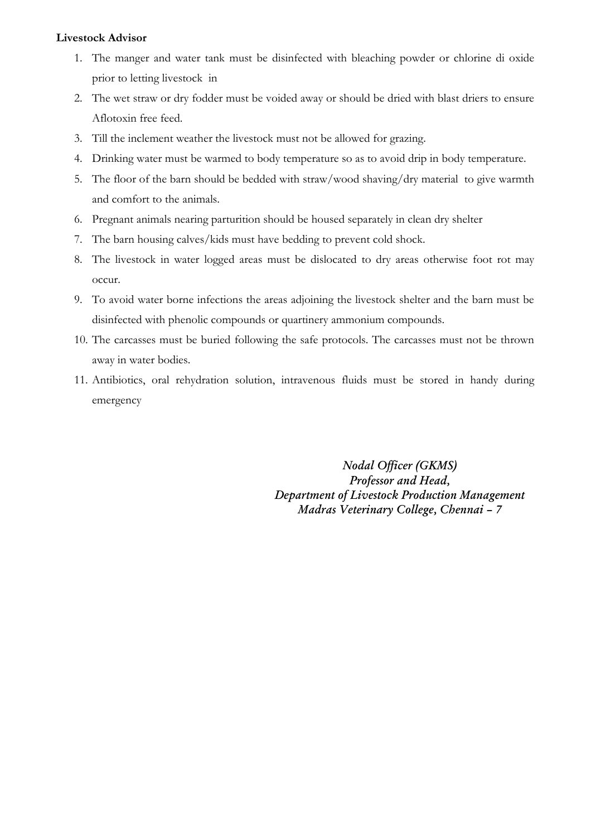### **Livestock Advisor**

- 1. The manger and water tank must be disinfected with bleaching powder or chlorine di oxide prior to letting livestock in
- 2. The wet straw or dry fodder must be voided away or should be dried with blast driers to ensure Aflotoxin free feed.
- 3. Till the inclement weather the livestock must not be allowed for grazing.
- 4. Drinking water must be warmed to body temperature so as to avoid drip in body temperature.
- 5. The floor of the barn should be bedded with straw/wood shaving/dry material to give warmth and comfort to the animals.
- 6. Pregnant animals nearing parturition should be housed separately in clean dry shelter
- 7. The barn housing calves/kids must have bedding to prevent cold shock.
- 8. The livestock in water logged areas must be dislocated to dry areas otherwise foot rot may occur.
- 9. To avoid water borne infections the areas adjoining the livestock shelter and the barn must be disinfected with phenolic compounds or quartinery ammonium compounds.
- 10. The carcasses must be buried following the safe protocols. The carcasses must not be thrown away in water bodies.
- 11. Antibiotics, oral rehydration solution, intravenous fluids must be stored in handy during emergency

*Nodal Officer (GKMS) Professor and Head, Department of Livestock Production Management Madras Veterinary College, Chennai – 7*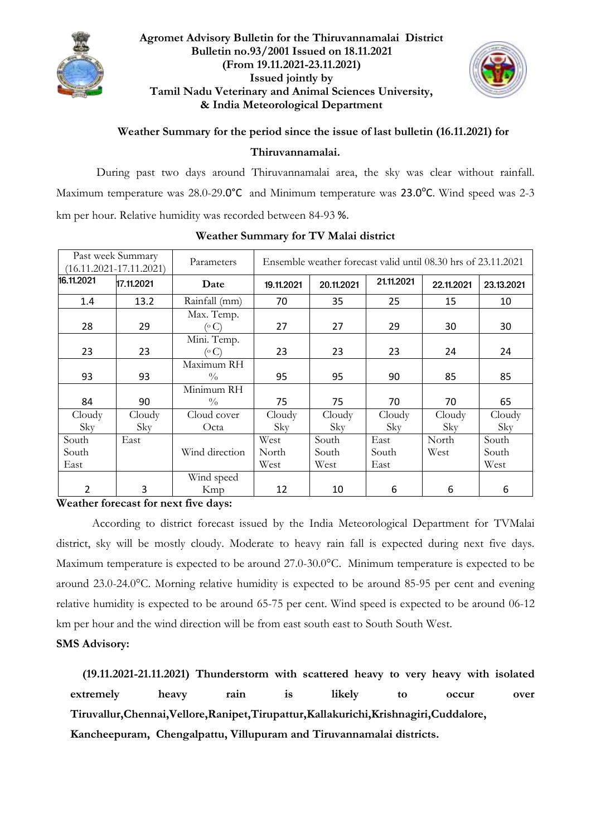

### **Agromet Advisory Bulletin for the Thiruvannamalai District Bulletin no.93/2001 Issued on 18.11.2021 (From 19.11.2021-23.11.2021) Issued jointly by Tamil Nadu Veterinary and Animal Sciences University, & India Meteorological Department**



### **Weather Summary for the period since the issue of last bulletin (16.11.2021) for**

#### **Thiruvannamalai.**

During past two days around Thiruvannamalai area, the sky was clear without rainfall. Maximum temperature was 28.0-29.0°C and Minimum temperature was 23.0°C. Wind speed was 2-3 km per hour. Relative humidity was recorded between 84-93 %.

| Past week Summary<br>$(16.11.2021 - 17.11.2021)$ |                     | Parameters                  | Ensemble weather forecast valid until 08.30 hrs of 23.11.2021 |                        |                       |               |                        |  |
|--------------------------------------------------|---------------------|-----------------------------|---------------------------------------------------------------|------------------------|-----------------------|---------------|------------------------|--|
| 16.11.2021                                       | 17.11.2021          | Date                        | 19.11.2021                                                    | 20.11.2021             | 21.11.2021            | 22.11.2021    | 23.13.2021             |  |
| 1.4                                              | 13.2                | Rainfall (mm)               | 70                                                            | 35                     | 25                    | 15            | 10                     |  |
| 28                                               | 29                  | Max. Temp.<br>(°C)          | 27                                                            | 27                     | 29                    | 30            | 30                     |  |
| 23                                               | 23                  | Mini. Temp.<br>(° C)        | 23                                                            | 23                     | 23                    | 24            | 24                     |  |
| 93                                               | 93                  | Maximum RH<br>$\frac{0}{0}$ | 95                                                            | 95                     | 90                    | 85            | 85                     |  |
| 84                                               | 90                  | Minimum RH<br>$\frac{0}{0}$ | 75                                                            | 75                     | 70                    | 70            | 65                     |  |
| Cloudy<br>Sky                                    | Cloudy<br>Sky       | Cloud cover<br>Octa         | Cloudy<br>Sky                                                 | Cloudy<br>Sky          | Cloudy<br>Sky         | Cloudy<br>Sky | Cloudy<br>Sky          |  |
| South<br>South<br>East                           | East                | Wind direction              | West<br>North<br>West                                         | South<br>South<br>West | East<br>South<br>East | North<br>West | South<br>South<br>West |  |
| 2<br>$\mathbf{W}$<br>$\sim$<br>$\mathbf{A}$      | 3<br>$\overline{c}$ | Wind speed<br>Kmp           | 12                                                            | 10                     | 6                     | 6             | 6                      |  |

### **Weather Summary for TV Malai district**

**Weather forecast for next five days:** 

According to district forecast issued by the India Meteorological Department for TVMalai district, sky will be mostly cloudy. Moderate to heavy rain fall is expected during next five days. Maximum temperature is expected to be around 27.0-30.0°C. Minimum temperature is expected to be around 23.0-24.0°C. Morning relative humidity is expected to be around 85-95 per cent and evening relative humidity is expected to be around 65-75 per cent. Wind speed is expected to be around 06-12 km per hour and the wind direction will be from east south east to South South West.

# **SMS Advisory:**

 **(19.11.2021-21.11.2021) Thunderstorm with scattered heavy to very heavy with isolated extremely heavy rain is likely to occur over Tiruvallur,Chennai,Vellore,Ranipet,Tirupattur,Kallakurichi,Krishnagiri,Cuddalore, Kancheepuram, Chengalpattu, Villupuram and Tiruvannamalai districts.**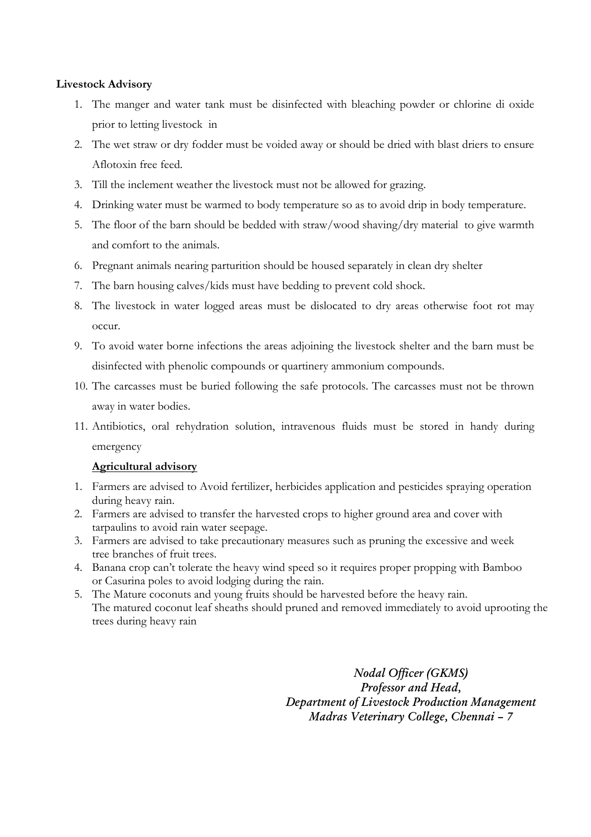### **Livestock Advisory**

- 1. The manger and water tank must be disinfected with bleaching powder or chlorine di oxide prior to letting livestock in
- 2. The wet straw or dry fodder must be voided away or should be dried with blast driers to ensure Aflotoxin free feed.
- 3. Till the inclement weather the livestock must not be allowed for grazing.
- 4. Drinking water must be warmed to body temperature so as to avoid drip in body temperature.
- 5. The floor of the barn should be bedded with straw/wood shaving/dry material to give warmth and comfort to the animals.
- 6. Pregnant animals nearing parturition should be housed separately in clean dry shelter
- 7. The barn housing calves/kids must have bedding to prevent cold shock.
- 8. The livestock in water logged areas must be dislocated to dry areas otherwise foot rot may occur.
- 9. To avoid water borne infections the areas adjoining the livestock shelter and the barn must be disinfected with phenolic compounds or quartinery ammonium compounds.
- 10. The carcasses must be buried following the safe protocols. The carcasses must not be thrown away in water bodies.
- 11. Antibiotics, oral rehydration solution, intravenous fluids must be stored in handy during emergency

### **Agricultural advisory**

- 1. Farmers are advised to Avoid fertilizer, herbicides application and pesticides spraying operation during heavy rain.
- 2. Farmers are advised to transfer the harvested crops to higher ground area and cover with tarpaulins to avoid rain water seepage.
- 3. Farmers are advised to take precautionary measures such as pruning the excessive and week tree branches of fruit trees.
- 4. Banana crop can't tolerate the heavy wind speed so it requires proper propping with Bamboo or Casurina poles to avoid lodging during the rain.
- 5. The Mature coconuts and young fruits should be harvested before the heavy rain. The matured coconut leaf sheaths should pruned and removed immediately to avoid uprooting the trees during heavy rain

*Nodal Officer (GKMS) Professor and Head, Department of Livestock Production Management Madras Veterinary College, Chennai – 7*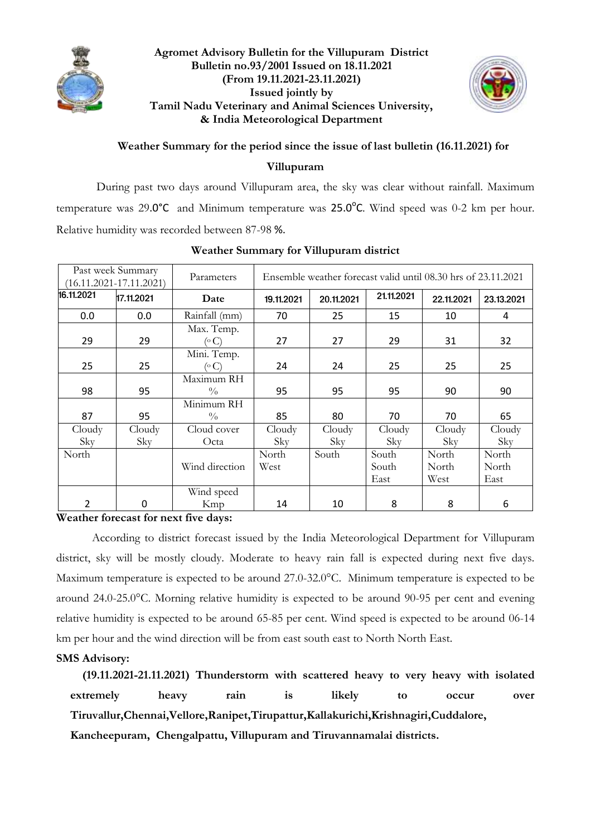

### **Agromet Advisory Bulletin for the Villupuram District Bulletin no.93/2001 Issued on 18.11.2021 (From 19.11.2021-23.11.2021) Issued jointly by Tamil Nadu Veterinary and Animal Sciences University, & India Meteorological Department**



# **Weather Summary for the period since the issue of last bulletin (16.11.2021) for**

### **Villupuram**

During past two days around Villupuram area, the sky was clear without rainfall. Maximum temperature was 29.0°C and Minimum temperature was  $25.0$ °C. Wind speed was 0-2 km per hour. Relative humidity was recorded between 87-98 %.

| Past week Summary<br>$(16.11.2021 - 17.11.2021)$ |            | Parameters                  | Ensemble weather forecast valid until 08.30 hrs of 23.11.2021 |            |                        |                        |                        |  |
|--------------------------------------------------|------------|-----------------------------|---------------------------------------------------------------|------------|------------------------|------------------------|------------------------|--|
| 16.11.2021                                       | 17.11.2021 | Date                        | 19.11.2021                                                    | 20.11.2021 | 21.11.2021             | 22.11.2021             | 23.13.2021             |  |
| 0.0                                              | 0.0        | Rainfall (mm)               | 70                                                            | 25         | 15                     | 10                     | 4                      |  |
| 29                                               | 29         | Max. Temp.<br>(° C)         | 27                                                            | 27         | 29                     | 31                     | 32                     |  |
| 25                                               | 25         | Mini. Temp.<br>(°C)         | 24                                                            | 24         | 25                     | 25                     | 25                     |  |
| 98                                               | 95         | Maximum RH<br>$\frac{0}{0}$ | 95                                                            | 95         | 95                     | 90                     | 90                     |  |
| 87                                               | 95         | Minimum RH<br>$\frac{0}{0}$ | 85                                                            | 80         | 70                     | 70                     | 65                     |  |
| Cloudy                                           | Cloudy     | Cloud cover                 | Cloudy                                                        | Cloudy     | Cloudy                 | Cloudy                 | Cloudy                 |  |
| Sky                                              | Sky        | Octa                        | Sky                                                           | Sky        | Sky                    | Sky                    | Sky                    |  |
| North                                            |            | Wind direction              | North<br>West                                                 | South      | South<br>South<br>East | North<br>North<br>West | North<br>North<br>East |  |
| 2                                                | $\Omega$   | Wind speed<br>Kmp           | 14                                                            | 10         | 8                      | 8                      | 6                      |  |

### **Weather Summary for Villupuram district**

**Weather forecast for next five days:** 

According to district forecast issued by the India Meteorological Department for Villupuram district, sky will be mostly cloudy. Moderate to heavy rain fall is expected during next five days. Maximum temperature is expected to be around 27.0-32.0°C. Minimum temperature is expected to be around 24.0-25.0°C. Morning relative humidity is expected to be around 90-95 per cent and evening relative humidity is expected to be around 65-85 per cent. Wind speed is expected to be around 06-14 km per hour and the wind direction will be from east south east to North North East.

# **SMS Advisory:**

 **(19.11.2021-21.11.2021) Thunderstorm with scattered heavy to very heavy with isolated extremely heavy rain is likely to occur over Tiruvallur,Chennai,Vellore,Ranipet,Tirupattur,Kallakurichi,Krishnagiri,Cuddalore, Kancheepuram, Chengalpattu, Villupuram and Tiruvannamalai districts.**